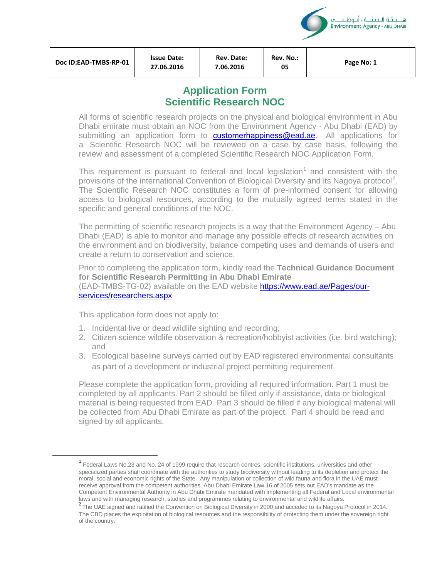

**Rev. No.:** 

**<sup>05</sup> Page No: 1** 

# **Application Form Scientific Research NOC**

All forms of scientific research projects on the physical and biological environment in Abu Dhabi emirate must obtain an NOC from the Environment Agency - Abu Dhabi (EAD) by submitting an application form to customerhappiness@ead.ae. All applications for a Scientific Research NOC will be reviewed on a case by case basis, following the review and assessment of a completed Scientific Research NOC Application Form.

This requirement is pursuant to federal and local legislation<sup>[1](#page-0-0)</sup> and consistent with the provisions of the international Convention of Biological Diversity and its Nagoya protocol<sup>[2](#page-0-1)</sup>. The Scientific Research NOC constitutes a form of pre-informed consent for allowing access to biological resources, according to the mutually agreed terms stated in the specific and general conditions of the NOC.

The permitting of scientific research projects is a way that the Environment Agency – Abu Dhabi (EAD) is able to monitor and manage any possible effects of research activities on the environment and on biodiversity, balance competing uses and demands of users and create a return to conservation and science.

Prior to completing the application form, kindly read the **Technical Guidance Document for Scientific Research Permitting in Abu Dhabi Emirate** (EAD-TMBS-TG-02) available on the EAD website https://www.ead.ae/Pages/ourservices/researchers.aspx

This application form does not apply to:

- 1. Incidental live or dead wildlife sighting and recording;
- 2. Citizen science wildlife observation & recreation/hobbyist activities (i.e. bird watching); and
- 3. Ecological baseline surveys carried out by EAD registered environmental consultants as part of a development or industrial project permitting requirement.

Please complete the application form, providing all required information. Part 1 must be completed by all applicants. Part 2 should be filled only if assistance, data or biological material is being requested from EAD. Part 3 should be filled if any biological material will be collected from Abu Dhabi Emirate as part of the project. Part 4 should be read and signed by all applicants.

<span id="page-0-0"></span><sup>&</sup>lt;sup>1</sup> Federal Laws No.23 and No. 24 of 1999 require that research centres, scientific institutions, universities and other specialized parties shall coordinate with the authorities to study biodiversity without leading to its depletion and protect the moral, social and economic rights of the State. Any manipulation or collection of wild fauna and flora in the UAE must receive approval from the competent authorities. Abu Dhabi Emirate Law 16 of 2005 sets out EAD's mandate as the Competent Environmental Authority in Abu Dhabi Emirate mandated with implementing all Federal and Local environmental laws and with managing research, studies and programmes relating to environmental and wildlife affairs.

<span id="page-0-1"></span><sup>&</sup>lt;sup>2</sup> The UAE signed and ratified the Convention on Biological Diversity in 2000 and acceded to its Nagoya Protocol in 2014. The CBD places the exploitation of biological resources and the responsibility of protecting them under the sovereign right of the country.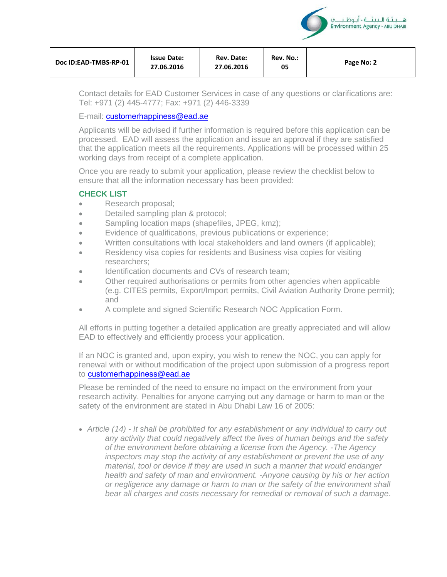| Rev. No.:<br>Rev. Date:<br><b>Issue Date:</b><br>Doc ID:EAD-TMBS-RP-01<br>Page No: 2<br>05<br>27.06.2016<br>27.06.2016 |  |  |  |  |  |
|------------------------------------------------------------------------------------------------------------------------|--|--|--|--|--|
|------------------------------------------------------------------------------------------------------------------------|--|--|--|--|--|

هـ بيئة البيئــة - أبوظ Environment Agency - ABU DHABI

Contact details for EAD Customer Services in case of any questions or clarifications are: Tel: +971 (2) 445-4777; Fax: +971 (2) 446-3339

## E-mail: customerhappiness@ead.ae

Applicants will be advised if further information is required before this application can be processed. EAD will assess the application and issue an approval if they are satisfied that the application meets all the requirements. Applications will be processed within 25 working days from receipt of a complete application.

Once you are ready to submit your application, please review the checklist below to ensure that all the information necessary has been provided:

## **CHECK LIST**

- Research proposal;
- Detailed sampling plan & protocol;
- Sampling location maps (shapefiles, JPEG, kmz);
- Evidence of qualifications, previous publications or experience;
- Written consultations with local stakeholders and land owners (if applicable);
- Residency visa copies for residents and Business visa copies for visiting researchers;
- Identification documents and CVs of research team;
- Other required authorisations or permits from other agencies when applicable (e.g. CITES permits, Export/Import permits, Civil Aviation Authority Drone permit); and
- A complete and signed Scientific Research NOC Application Form.

All efforts in putting together a detailed application are greatly appreciated and will allow EAD to effectively and efficiently process your application.

If an NOC is granted and, upon expiry, you wish to renew the NOC, you can apply for renewal with or without modification of the project upon submission of a progress report to **customerhappiness@ead.ae** 

Please be reminded of the need to ensure no impact on the environment from your research activity. Penalties for anyone carrying out any damage or harm to man or the safety of the environment are stated in Abu Dhabi Law 16 of 2005:

• *Article (14) - It shall be prohibited for any establishment or any individual to carry out any activity that could negatively affect the lives of human beings and the safety of the environment before obtaining a license from the Agency. -The Agency inspectors may stop the activity of any establishment or prevent the use of any material, tool or device if they are used in such a manner that would endanger health and safety of man and environment. -Anyone causing by his or her action or negligence any damage or harm to man or the safety of the environment shall bear all charges and costs necessary for remedial or removal of such a damage*.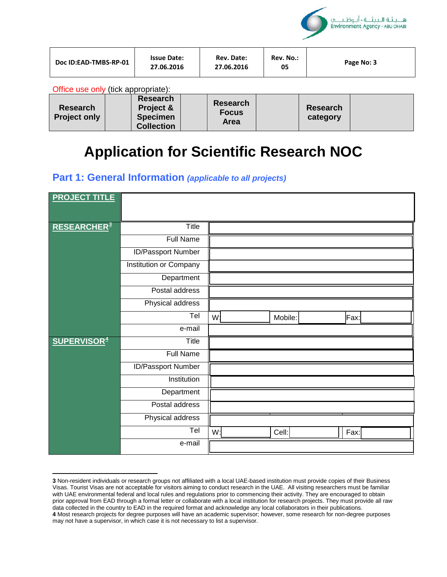

| Doc ID:EAD-TMBS-RP-01 | <b>Issue Date:</b><br>27.06.2016 | Rev. Date:<br>27.06.2016 | Rev. No.:<br>05 | Page No: 3 |
|-----------------------|----------------------------------|--------------------------|-----------------|------------|
|-----------------------|----------------------------------|--------------------------|-----------------|------------|

Office use only (tick appropriate):

 $\overline{\phantom{a}}$ 

| <b>Research</b><br><b>Project only</b> | <b>Research</b><br>Project &<br><b>Specimen</b><br><b>Collection</b> | <b>Research</b><br><b>Focus</b><br>Area |  | <b>Research</b><br>category |  |
|----------------------------------------|----------------------------------------------------------------------|-----------------------------------------|--|-----------------------------|--|
|----------------------------------------|----------------------------------------------------------------------|-----------------------------------------|--|-----------------------------|--|

# **Application for Scientific Research NOC**

## **Part 1: General Information** *(applicable to all projects)*

| <b>PROJECT TITLE</b>          |                           |                |         |      |  |
|-------------------------------|---------------------------|----------------|---------|------|--|
|                               |                           |                |         |      |  |
| <b>RESEARCHER<sup>3</sup></b> | Title                     |                |         |      |  |
|                               | <b>Full Name</b>          |                |         |      |  |
|                               | <b>ID/Passport Number</b> |                |         |      |  |
|                               | Institution or Company    |                |         |      |  |
|                               | Department                |                |         |      |  |
|                               | Postal address            |                |         |      |  |
|                               | Physical address          |                |         |      |  |
|                               | Tel                       | W <sub>1</sub> | Mobile: | Fax: |  |
|                               | e-mail                    |                |         |      |  |
| <b>SUPERVISOR4</b>            | <b>Title</b>              |                |         |      |  |
|                               | <b>Full Name</b>          |                |         |      |  |
|                               | ID/Passport Number        |                |         |      |  |
|                               | Institution               |                |         |      |  |
|                               | Department                |                |         |      |  |
|                               | Postal address            |                |         |      |  |
|                               | Physical address          |                |         |      |  |
|                               | Tel                       | W:             | Cell:   | Fax: |  |
|                               | e-mail                    |                |         |      |  |
|                               |                           |                |         |      |  |

<span id="page-2-1"></span><span id="page-2-0"></span>**<sup>3</sup>** Non-resident individuals or research groups not affiliated with a local UAE-based institution must provide copies of their Business Visas. Tourist Visas are not acceptable for visitors aiming to conduct research in the UAE. All visiting researchers must be familiar with UAE environmental federal and local rules and regulations prior to commencing their activity. They are encouraged to obtain prior approval from EAD through a formal letter or collaborate with a local institution for research projects. They must provide all raw data collected in the country to EAD in the required format and acknowledge any local collaborators in their publications. **4** Most research projects for degree purposes will have an academic supervisor; however, some research for non-degree purposes may not have a supervisor, in which case it is not necessary to list a supervisor.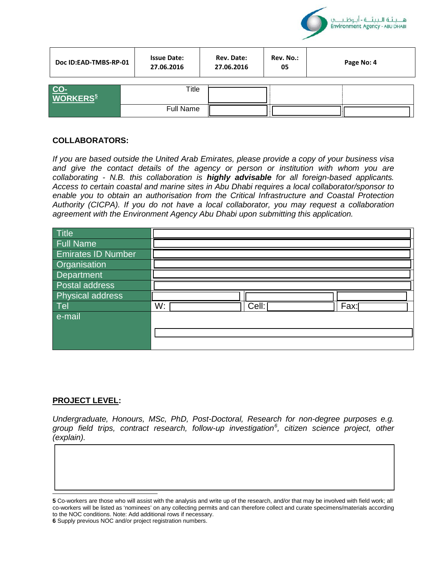

| Doc ID:EAD-TMBS-RP-01       | <b>Issue Date:</b><br>27.06.2016 | Rev. Date:<br>27.06.2016 | Rev. No.:<br>05 | Page No: 4 |
|-----------------------------|----------------------------------|--------------------------|-----------------|------------|
| CO-<br>WORKERS <sup>5</sup> | Title                            |                          |                 |            |
|                             | <b>Full Name</b>                 |                          |                 |            |

#### **COLLABORATORS:**

*If you are based outside the United Arab Emirates, please provide a copy of your business visa and give the contact details of the agency or person or institution with whom you are collaborating - N.B. this collaboration is highly advisable for all foreign-based applicants. Access to certain coastal and marine sites in Abu Dhabi requires a local collaborator/sponsor to enable you to obtain an authorisation from the Critical Infrastructure and Coastal Protection Authority (CICPA). If you do not have a local collaborator, you may request a collaboration agreement with the Environment Agency Abu Dhabi upon submitting this application.* 

| Title                     |    |       |      |
|---------------------------|----|-------|------|
| <b>Full Name</b>          |    |       |      |
| <b>Emirates ID Number</b> |    |       |      |
| Organisation              |    |       |      |
| Department                |    |       |      |
| Postal address            |    |       |      |
| Physical address          |    |       |      |
| Tel                       | W: | Cell: | Fax: |
| e-mail                    |    |       |      |
|                           |    |       |      |
|                           |    |       |      |
|                           |    |       |      |

#### **PROJECT LEVEL:**

 $\overline{\phantom{a}}$ 

*Undergraduate, Honours, MSc, PhD, Post-Doctoral, Research for non-degree purposes e.g. group field trips, contract research, follow-up investigation[6](#page-3-1) , citizen science project, other (explain).*

<span id="page-3-1"></span><span id="page-3-0"></span>**<sup>5</sup>** Co-workers are those who will assist with the analysis and write up of the research, and/or that may be involved with field work; all co-workers will be listed as 'nominees' on any collecting permits and can therefore collect and curate specimens/materials according to the NOC conditions. Note: Add additional rows if necessary.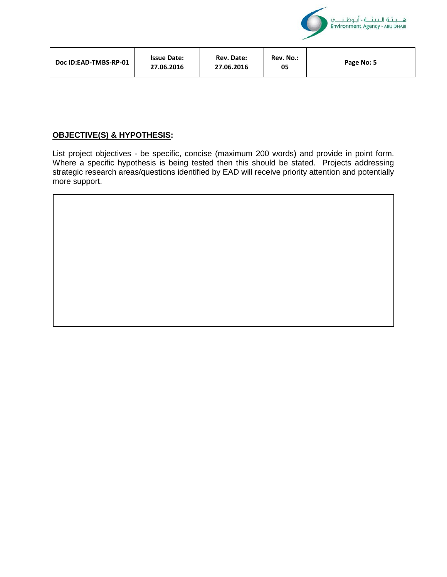

| Rev. No.:<br>Rev. Date:<br><b>Issue Date:</b><br>Doc ID:EAD-TMBS-RP-01<br>Page No: 5<br>27.06.2016<br>27.06.2016<br>05 |  |  |  |  |  |
|------------------------------------------------------------------------------------------------------------------------|--|--|--|--|--|
|------------------------------------------------------------------------------------------------------------------------|--|--|--|--|--|

## **OBJECTIVE(S) & HYPOTHESIS:**

List project objectives - be specific, concise (maximum 200 words) and provide in point form. Where a specific hypothesis is being tested then this should be stated. Projects addressing strategic research areas/questions identified by EAD will receive priority attention and potentially more support.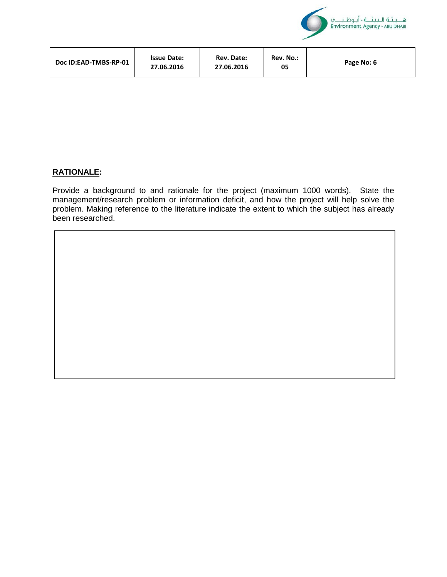

| Doc ID:EAD-TMBS-RP-01 | <b>Issue Date:</b><br>27.06.2016 | Rev. Date:<br>27.06.2016 | Rev. No.:<br>05 | Page No: 6 |
|-----------------------|----------------------------------|--------------------------|-----------------|------------|
|-----------------------|----------------------------------|--------------------------|-----------------|------------|

#### **RATIONALE:**

Provide a background to and rationale for the project (maximum 1000 words). State the management/research problem or information deficit, and how the project will help solve the problem. Making reference to the literature indicate the extent to which the subject has already been researched.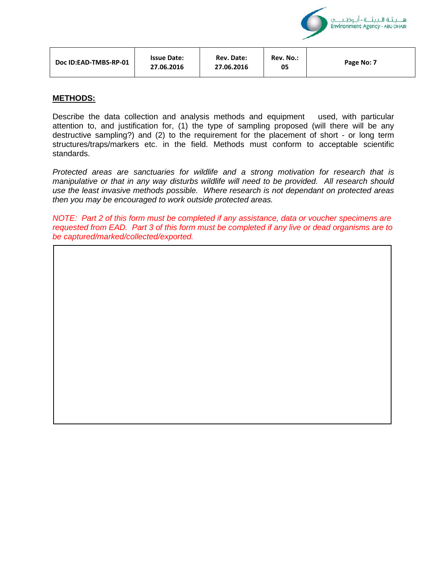| Doc ID:EAD-TMBS-RP-01 | <b>Issue Date:</b><br>27.06.2016 | <b>Rev. Date:</b><br>27.06.2016 | Rev. No.:<br>05 | Page No: 7 |
|-----------------------|----------------------------------|---------------------------------|-----------------|------------|
|                       |                                  |                                 |                 |            |

هـ بيئة الـبيئــة - أبوظنا Environment Agency - ABU DHABI

#### **METHODS:**

Describe the data collection and analysis methods and equipment used, with particular attention to, and justification for, (1) the type of sampling proposed (will there will be any destructive sampling?) and (2) to the requirement for the placement of short - or long term structures/traps/markers etc. in the field. Methods must conform to acceptable scientific standards.

*Protected areas are sanctuaries for wildlife and a strong motivation for research that is manipulative or that in any way disturbs wildlife will need to be provided. All research should use the least invasive methods possible. Where research is not dependant on protected areas then you may be encouraged to work outside protected areas.*

*NOTE: Part 2 of this form must be completed if any assistance, data or voucher specimens are requested from EAD. Part 3 of this form must be completed if any live or dead organisms are to be captured/marked/collected/exported.*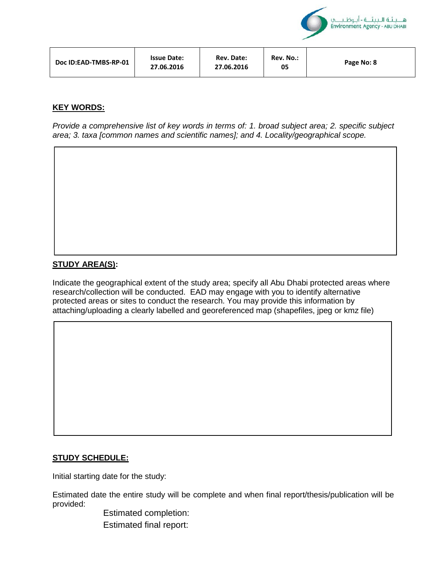

## **KEY WORDS:**

*Provide a comprehensive list of key words in terms of: 1. broad subject area; 2. specific subject area; 3. taxa [common names and scientific names]; and 4. Locality/geographical scope.*

## **STUDY AREA(S):**

Indicate the geographical extent of the study area; specify all Abu Dhabi protected areas where research/collection will be conducted. EAD may engage with you to identify alternative protected areas or sites to conduct the research. You may provide this information by attaching/uploading a clearly labelled and georeferenced map (shapefiles, jpeg or kmz file)

#### **STUDY SCHEDULE:**

Initial starting date for the study:

Estimated date the entire study will be complete and when final report/thesis/publication will be provided:

> Estimated completion: Estimated final report: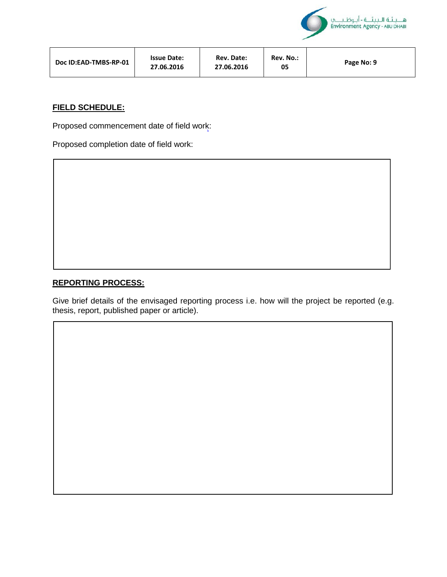

| Doc ID:EAD-TMBS-RP-01 | <b>Issue Date:</b><br>27.06.2016 | Rev. Date:<br>27.06.2016 | Rev. No.:<br>05 | Page No: 9 |
|-----------------------|----------------------------------|--------------------------|-----------------|------------|
|-----------------------|----------------------------------|--------------------------|-----------------|------------|

## **FIELD SCHEDULE:**

Proposed commencement date of field work:

Proposed completion date of field work:

## **REPORTING PROCESS:**

Give brief details of the envisaged reporting process i.e. how will the project be reported (e.g. thesis, report, published paper or article).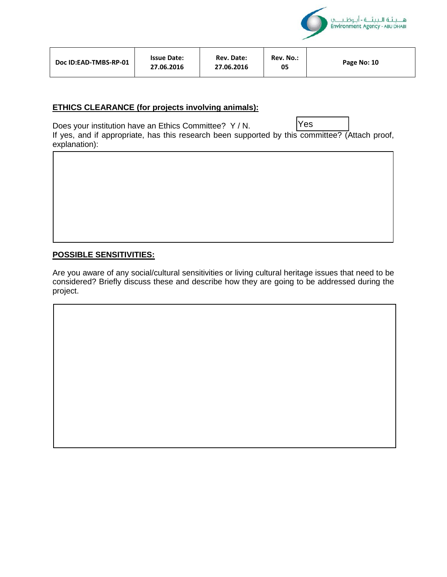

| Doc ID:EAD-TMBS-RP-01 | <b>Issue Date:</b><br>27.06.2016 | <b>Rev. Date:</b><br>27.06.2016 | Rev. No.:<br>05 | Page No: 10 |
|-----------------------|----------------------------------|---------------------------------|-----------------|-------------|
|-----------------------|----------------------------------|---------------------------------|-----------------|-------------|

## **ETHICS CLEARANCE (for projects involving animals):**

Does your institution have an Ethics Committee? Y / N. If yes, and if appropriate, has this research been supported by this committee? (Attach proof, explanation): Yes

## **POSSIBLE SENSITIVITIES:**

Are you aware of any social/cultural sensitivities or living cultural heritage issues that need to be considered? Briefly discuss these and describe how they are going to be addressed during the project.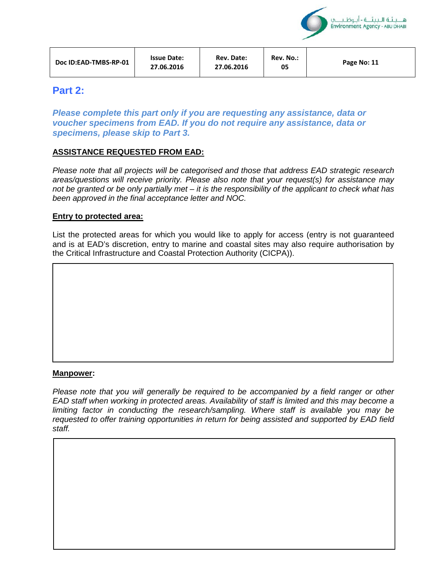

هـ بيئة الـبيئــة - أبوظنا Environment Agency - ABU DHABI

## **Part 2:**

*Please complete this part only if you are requesting any assistance, data or voucher specimens from EAD. If you do not require any assistance, data or specimens, please skip to Part 3.* 

## **ASSISTANCE REQUESTED FROM EAD:**

*Please note that all projects will be categorised and those that address EAD strategic research areas/questions will receive priority. Please also note that your request(s) for assistance may not be granted or be only partially met – it is the responsibility of the applicant to check what has been approved in the final acceptance letter and NOC.* 

#### **Entry to protected area:**

List the protected areas for which you would like to apply for access (entry is not guaranteed and is at EAD's discretion, entry to marine and coastal sites may also require authorisation by the Critical Infrastructure and Coastal Protection Authority (CICPA)).

#### **Manpower:**

*Please note that you will generally be required to be accompanied by a field ranger or other EAD staff when working in protected areas. Availability of staff is limited and this may become a limiting factor in conducting the research/sampling. Where staff is available you may be requested to offer training opportunities in return for being assisted and supported by EAD field staff.*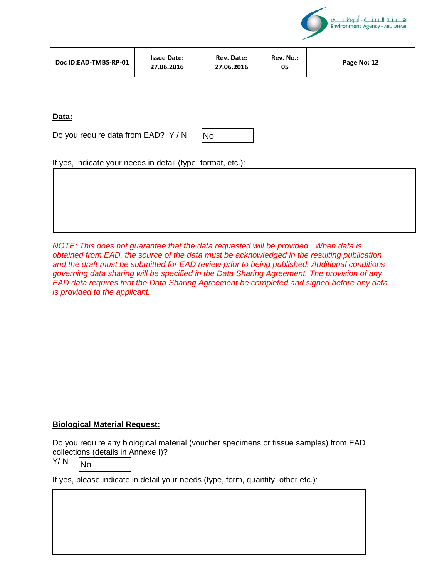

| Doc ID:EAD-TMBS-RP-01 | <b>Issue Date:</b><br>27.06.2016 | Rev. Date:<br>27.06.2016 | Rev. No.:<br>05 | Page No: 12 |
|-----------------------|----------------------------------|--------------------------|-----------------|-------------|
|-----------------------|----------------------------------|--------------------------|-----------------|-------------|

## **Data:**

Do you require data from EAD? Y / N



If yes, indicate your needs in detail (type, format, etc.):

*NOTE: This does not guarantee that the data requested will be provided. When data is obtained from EAD, the source of the data must be acknowledged in the resulting publication and the draft must be submitted for EAD review prior to being published. Additional conditions governing data sharing will be specified in the Data Sharing Agreement. The provision of any EAD data requires that the Data Sharing Agreement be completed and signed before any data is provided to the applicant.* 

## **Biological Material Request:**

Do you require any biological material (voucher specimens or tissue samples) from EAD collections (details in Annexe I)?

Y/ N No

If yes, please indicate in detail your needs (type, form, quantity, other etc.):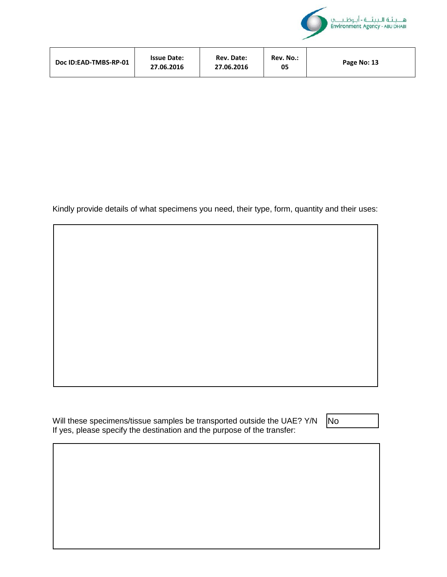

| Doc ID:EAD-TMBS-RP-01 | <b>Issue Date:</b><br>27.06.2016 | Rev. Date:<br>27.06.2016 | Rev. No.:<br>05 | Page No: 13 |
|-----------------------|----------------------------------|--------------------------|-----------------|-------------|
|-----------------------|----------------------------------|--------------------------|-----------------|-------------|

Kindly provide details of what specimens you need, their type, form, quantity and their uses:

Will these specimens/tissue samples be transported outside the UAE? Y/N If yes, please specify the destination and the purpose of the transfer:

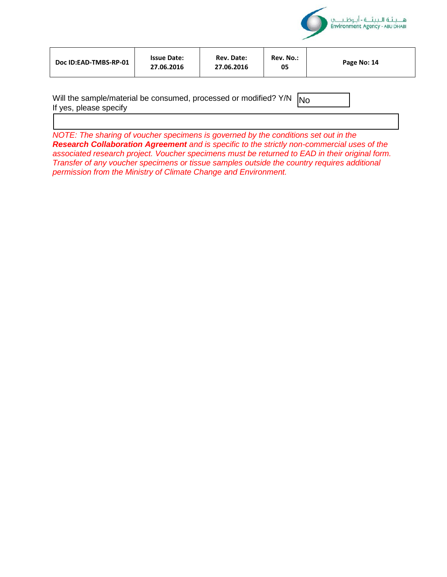

| Doc ID:EAD-TMBS-RP-01 | <b>Issue Date:</b><br>27.06.2016 | Rev. Date:<br>27.06.2016 | Rev. No.:<br>05 | Page No: 14 |
|-----------------------|----------------------------------|--------------------------|-----------------|-------------|
|-----------------------|----------------------------------|--------------------------|-----------------|-------------|

| Will the sample/material be consumed, processed or modified? $Y/N$ $N_0$ |  |
|--------------------------------------------------------------------------|--|
| If yes, please specify                                                   |  |

*NOTE: The sharing of voucher specimens is governed by the conditions set out in the Research Collaboration Agreement and is specific to the strictly non-commercial uses of the associated research project. Voucher specimens must be returned to EAD in their original form. Transfer of any voucher specimens or tissue samples outside the country requires additional permission from the Ministry of Climate Change and Environment.*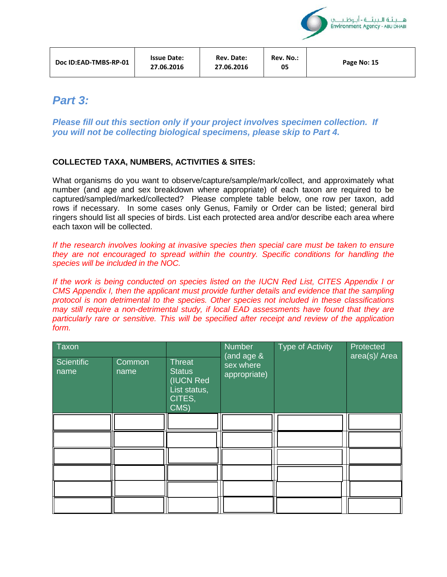| Doc ID:EAD-TMBS-RP-01 | <b>Issue Date:</b><br>27.06.2016 | Rev. Date:<br>27.06.2016 | Rev. No.:<br>05 | Page No: 15 |
|-----------------------|----------------------------------|--------------------------|-----------------|-------------|
|-----------------------|----------------------------------|--------------------------|-----------------|-------------|

هـ بنـنَـة الـبينَــة - أنـوظـنـ Environment Agency - ABU DHABI

# *Part 3:*

*Please fill out this section only if your project involves specimen collection. If you will not be collecting biological specimens, please skip to Part 4.*

## **COLLECTED TAXA, NUMBERS, ACTIVITIES & SITES:**

What organisms do you want to observe/capture/sample/mark/collect, and approximately what number (and age and sex breakdown where appropriate) of each taxon are required to be captured/sampled/marked/collected? Please complete table below, one row per taxon, add rows if necessary. In some cases only Genus, Family or Order can be listed; general bird ringers should list all species of birds. List each protected area and/or describe each area where each taxon will be collected.

*If the research involves looking at invasive species then special care must be taken to ensure they are not encouraged to spread within the country. Specific conditions for handling the species will be included in the NOC.* 

*If the work is being conducted on species listed on the IUCN Red List, CITES Appendix I or CMS Appendix I, then the applicant must provide further details and evidence that the sampling protocol is non detrimental to the species. Other species not included in these classifications may still require a non-detrimental study, if local EAD assessments have found that they are particularly rare or sensitive. This will be specified after receipt and review of the application form.* 

| Taxon<br>Scientific<br>name | <b>Common</b><br>name | Threat<br><b>Status</b><br>(IUCN Red<br>List status,<br>CITES,<br>CMS) | <b>Number</b><br>(and age &<br>sex where<br>appropriate) | Type of Activity | Protected<br>area(s)/ Area |
|-----------------------------|-----------------------|------------------------------------------------------------------------|----------------------------------------------------------|------------------|----------------------------|
|                             |                       |                                                                        |                                                          |                  |                            |
|                             |                       |                                                                        |                                                          |                  |                            |
|                             |                       |                                                                        |                                                          |                  |                            |
|                             |                       |                                                                        |                                                          |                  |                            |
|                             |                       |                                                                        |                                                          |                  |                            |
|                             |                       |                                                                        |                                                          |                  |                            |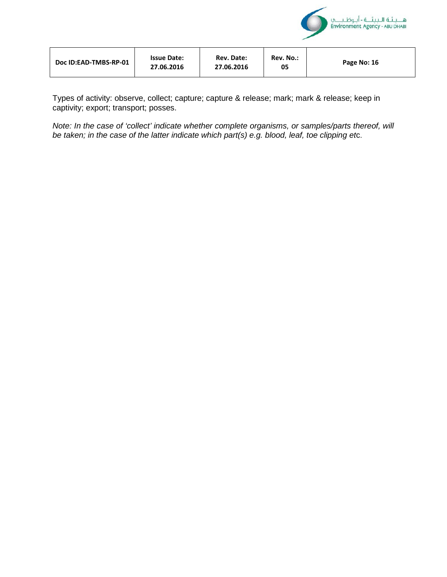

| <b>Issue Date:</b><br>Doc ID:EAD-TMBS-RP-01<br>27.06.2016 | Rev. Date:<br>27.06.2016 | Rev. No.:<br>05 | Page No: 16 |
|-----------------------------------------------------------|--------------------------|-----------------|-------------|
|-----------------------------------------------------------|--------------------------|-----------------|-------------|

Types of activity: observe, collect; capture; capture & release; mark; mark & release; keep in captivity; export; transport; posses.

*Note: In the case of 'collect' indicate whether complete organisms, or samples/parts thereof, will be taken; in the case of the latter indicate which part(s) e.g. blood, leaf, toe clipping et*c.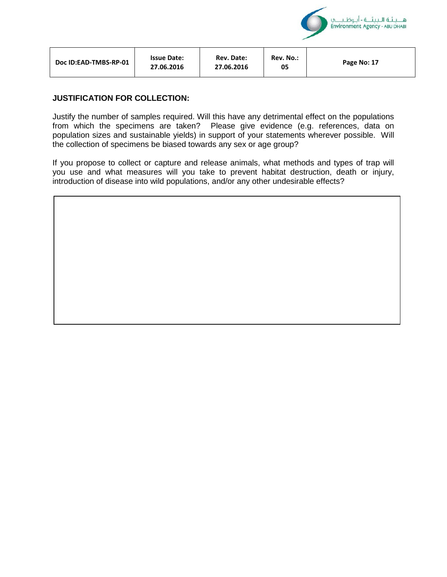

| Doc ID:EAD-TMBS-RP-01 | <b>Issue Date:</b><br>27.06.2016 | <b>Rev. Date:</b><br>27.06.2016 | Rev. No.:<br>05 | Page No: 17 |
|-----------------------|----------------------------------|---------------------------------|-----------------|-------------|
|                       |                                  |                                 |                 |             |

#### **JUSTIFICATION FOR COLLECTION:**

Justify the number of samples required. Will this have any detrimental effect on the populations from which the specimens are taken? Please give evidence (e.g. references, data on population sizes and sustainable yields) in support of your statements wherever possible. Will the collection of specimens be biased towards any sex or age group?

If you propose to collect or capture and release animals, what methods and types of trap will you use and what measures will you take to prevent habitat destruction, death or injury, introduction of disease into wild populations, and/or any other undesirable effects?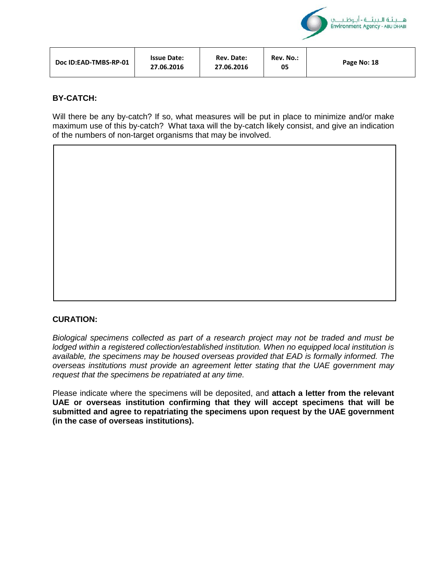

| <b>Issue Date:</b><br>Doc ID:EAD-TMBS-RP-01<br>27.06.2016 | <b>Rev. Date:</b><br>27.06.2016 | Rev. No.:<br>05 | Page No: 18 |
|-----------------------------------------------------------|---------------------------------|-----------------|-------------|
|-----------------------------------------------------------|---------------------------------|-----------------|-------------|

## **BY-CATCH:**

Will there be any by-catch? If so, what measures will be put in place to minimize and/or make maximum use of this by-catch? What taxa will the by-catch likely consist, and give an indication of the numbers of non-target organisms that may be involved.



*Biological specimens collected as part of a research project may not be traded and must be lodged within a registered collection/established institution. When no equipped local institution is available, the specimens may be housed overseas provided that EAD is formally informed. The overseas institutions must provide an agreement letter stating that the UAE government may request that the specimens be repatriated at any time.* 

Please indicate where the specimens will be deposited, and **attach a letter from the relevant UAE or overseas institution confirming that they will accept specimens that will be submitted and agree to repatriating the specimens upon request by the UAE government (in the case of overseas institutions).**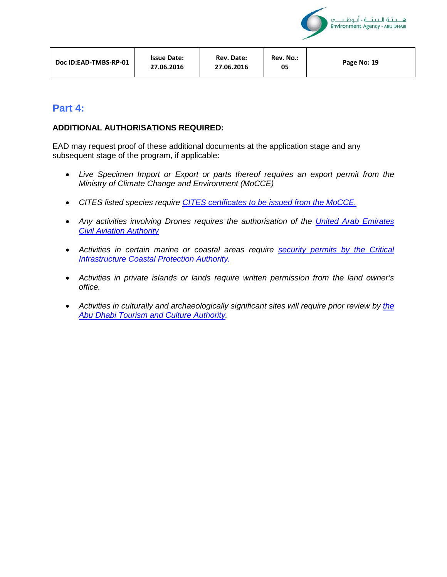

| Doc ID:EAD-TMBS-RP-01 | <b>Issue Date:</b><br>27.06.2016 | <b>Rev. Date:</b><br>27.06.2016 | Rev. No.:<br>05 | Page No: 19 |
|-----------------------|----------------------------------|---------------------------------|-----------------|-------------|
|-----------------------|----------------------------------|---------------------------------|-----------------|-------------|

# **Part 4:**

## **ADDITIONAL AUTHORISATIONS REQUIRED:**

EAD may request proof of these additional documents at the application stage and any subsequent stage of the program, if applicable:

- *Live Specimen Import or Export or parts thereof requires an export permit from the Ministry of Climate Change and Environment (MoCCE)*
- *CITES listed species require CITES certificates to be issued from the MoCCE.*
- *Any activities involving Drones requires the authorisation of the United Arab Emirates Civil Aviation Authority*
- *Activities in certain marine or coastal areas require security permits by the Critical Infrastructure Coastal Protection Authority.*
- *Activities in private islands or lands require written permission from the land owner's office.*
- *Activities in culturally and archaeologically significant sites will require prior review by the Abu Dhabi Tourism and Culture Authority.*